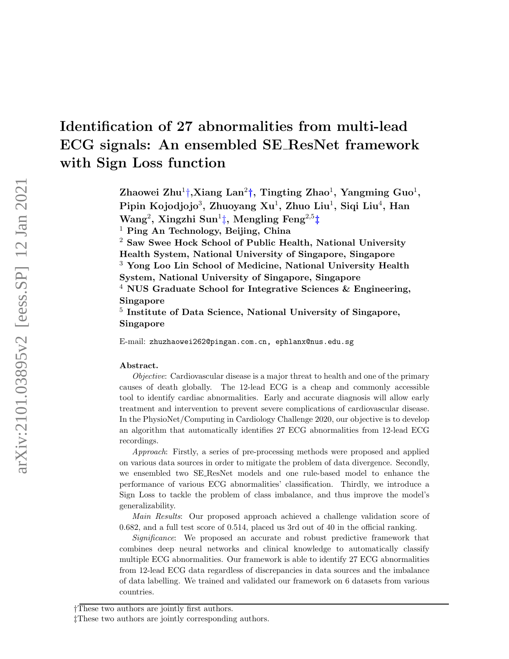# Identification of 27 abnormalities from multi-lead ECG signals: An ensembled SE ResNet framework with Sign Loss function

Zhaowei Zhu<sup>1</sup>[†](#page-0-0),Xiang Lan<sup>2</sup>†, Tingting Zhao<sup>1</sup>, Yangming Guo<sup>1</sup>, Pipin Kojodjojo $^3$ , Zhuoyang Xu $^1$ , Zhuo Liu $^1$ , Siqi Liu $^4$ , Han Wang $^2$ , Xingzhi Sun $^1\ddagger$ , Mengling Feng $^{2,5}\ddagger$ 

<sup>1</sup> Ping An Technology, Beijing, China

<sup>2</sup> Saw Swee Hock School of Public Health, National University Health System, National University of Singapore, Singapore <sup>3</sup> Yong Loo Lin School of Medicine, National University Health

System, National University of Singapore, Singapore

<sup>4</sup> NUS Graduate School for Integrative Sciences  $\&$  Engineering, Singapore

<sup>5</sup> Institute of Data Science, National University of Singapore, Singapore

E-mail: zhuzhaowei262@pingan.com.cn, ephlanx@nus.edu.sg

#### Abstract.

Objective: Cardiovascular disease is a major threat to health and one of the primary causes of death globally. The 12-lead ECG is a cheap and commonly accessible tool to identify cardiac abnormalities. Early and accurate diagnosis will allow early treatment and intervention to prevent severe complications of cardiovascular disease. In the PhysioNet/Computing in Cardiology Challenge 2020, our objective is to develop an algorithm that automatically identifies 27 ECG abnormalities from 12-lead ECG recordings.

Approach: Firstly, a series of pre-processing methods were proposed and applied on various data sources in order to mitigate the problem of data divergence. Secondly, we ensembled two SE ResNet models and one rule-based model to enhance the performance of various ECG abnormalities' classification. Thirdly, we introduce a Sign Loss to tackle the problem of class imbalance, and thus improve the model's generalizability.

Main Results: Our proposed approach achieved a challenge validation score of 0.682, and a full test score of 0.514, placed us 3rd out of 40 in the official ranking.

Significance: We proposed an accurate and robust predictive framework that combines deep neural networks and clinical knowledge to automatically classify multiple ECG abnormalities. Our framework is able to identify 27 ECG abnormalities from 12-lead ECG data regardless of discrepancies in data sources and the imbalance of data labelling. We trained and validated our framework on 6 datasets from various countries.

<span id="page-0-0"></span><sup>†</sup>These two authors are jointly first authors.

<span id="page-0-1"></span><sup>‡</sup>These two authors are jointly corresponding authors.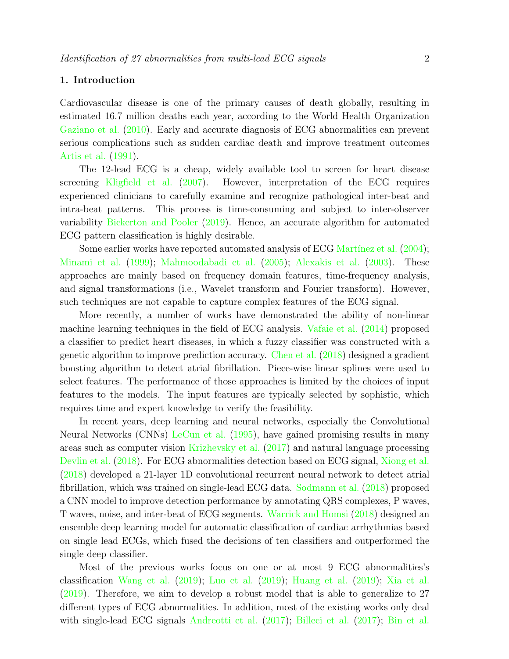# 1. Introduction

Cardiovascular disease is one of the primary causes of death globally, resulting in estimated 16.7 million deaths each year, according to the World Health Organization [Gaziano et al.](#page-14-0) [\(2010\)](#page-14-0). Early and accurate diagnosis of ECG abnormalities can prevent serious complications such as sudden cardiac death and improve treatment outcomes [Artis et al.](#page-14-1) [\(1991\)](#page-14-1).

The 12-lead ECG is a cheap, widely available tool to screen for heart disease screening [Kligfield et al.](#page-15-0) [\(2007\)](#page-15-0). However, interpretation of the ECG requires experienced clinicians to carefully examine and recognize pathological inter-beat and intra-beat patterns. This process is time-consuming and subject to inter-observer variability [Bickerton and Pooler](#page-14-2) [\(2019\)](#page-14-2). Hence, an accurate algorithm for automated ECG pattern classification is highly desirable.

Some earlier works have reported automated analysis of ECG Martínez et al. [\(2004\)](#page-15-1); [Minami et al.](#page-16-0) [\(1999\)](#page-16-0); [Mahmoodabadi et al.](#page-15-2) [\(2005\)](#page-15-2); [Alexakis et al.](#page-14-3) [\(2003\)](#page-14-3). These approaches are mainly based on frequency domain features, time-frequency analysis, and signal transformations (i.e., Wavelet transform and Fourier transform). However, such techniques are not capable to capture complex features of the ECG signal.

More recently, a number of works have demonstrated the ability of non-linear machine learning techniques in the field of ECG analysis. [Vafaie et al.](#page-16-1) [\(2014\)](#page-16-1) proposed a classifier to predict heart diseases, in which a fuzzy classifier was constructed with a genetic algorithm to improve prediction accuracy. [Chen et al.](#page-14-4) [\(2018\)](#page-14-4) designed a gradient boosting algorithm to detect atrial fibrillation. Piece-wise linear splines were used to select features. The performance of those approaches is limited by the choices of input features to the models. The input features are typically selected by sophistic, which requires time and expert knowledge to verify the feasibility.

In recent years, deep learning and neural networks, especially the Convolutional Neural Networks (CNNs) [LeCun et al.](#page-15-3) [\(1995\)](#page-15-3), have gained promising results in many areas such as computer vision [Krizhevsky et al.](#page-15-4) [\(2017\)](#page-15-4) and natural language processing [Devlin et al.](#page-14-5) [\(2018\)](#page-14-5). For ECG abnormalities detection based on ECG signal, [Xiong et al.](#page-16-2) [\(2018\)](#page-16-2) developed a 21-layer 1D convolutional recurrent neural network to detect atrial fibrillation, which was trained on single-lead ECG data. [Sodmann et al.](#page-16-3) [\(2018\)](#page-16-3) proposed a CNN model to improve detection performance by annotating QRS complexes, P waves, T waves, noise, and inter-beat of ECG segments. [Warrick and Homsi](#page-16-4) [\(2018\)](#page-16-4) designed an ensemble deep learning model for automatic classification of cardiac arrhythmias based on single lead ECGs, which fused the decisions of ten classifiers and outperformed the single deep classifier.

Most of the previous works focus on one or at most 9 ECG abnormalities's classification [Wang et al.](#page-16-5) [\(2019\)](#page-16-5); [Luo et al.](#page-15-5) [\(2019\)](#page-15-5); [Huang et al.](#page-15-6) [\(2019\)](#page-15-6); [Xia et al.](#page-16-6) [\(2019\)](#page-16-6). Therefore, we aim to develop a robust model that is able to generalize to 27 different types of ECG abnormalities. In addition, most of the existing works only deal with single-lead ECG signals [Andreotti et al.](#page-14-6) [\(2017\)](#page-14-6); [Billeci et al.](#page-14-7) [\(2017\)](#page-14-7); [Bin et al.](#page-14-8)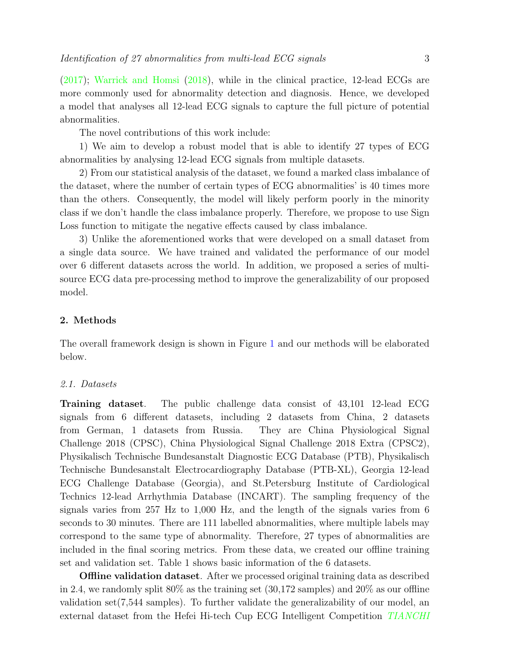[\(2017\)](#page-14-8); [Warrick and Homsi](#page-16-4) [\(2018\)](#page-16-4), while in the clinical practice, 12-lead ECGs are more commonly used for abnormality detection and diagnosis. Hence, we developed a model that analyses all 12-lead ECG signals to capture the full picture of potential abnormalities.

The novel contributions of this work include:

1) We aim to develop a robust model that is able to identify 27 types of ECG abnormalities by analysing 12-lead ECG signals from multiple datasets.

2) From our statistical analysis of the dataset, we found a marked class imbalance of the dataset, where the number of certain types of ECG abnormalities' is 40 times more than the others. Consequently, the model will likely perform poorly in the minority class if we don't handle the class imbalance properly. Therefore, we propose to use Sign Loss function to mitigate the negative effects caused by class imbalance.

3) Unlike the aforementioned works that were developed on a small dataset from a single data source. We have trained and validated the performance of our model over 6 different datasets across the world. In addition, we proposed a series of multisource ECG data pre-processing method to improve the generalizability of our proposed model.

# 2. Methods

The overall framework design is shown in Figure [1](#page-3-0) and our methods will be elaborated below.

# 2.1. Datasets

Training dataset. The public challenge data consist of 43,101 12-lead ECG signals from 6 different datasets, including 2 datasets from China, 2 datasets from German, 1 datasets from Russia. They are China Physiological Signal Challenge 2018 (CPSC), China Physiological Signal Challenge 2018 Extra (CPSC2), Physikalisch Technische Bundesanstalt Diagnostic ECG Database (PTB), Physikalisch Technische Bundesanstalt Electrocardiography Database (PTB-XL), Georgia 12-lead ECG Challenge Database (Georgia), and St.Petersburg Institute of Cardiological Technics 12-lead Arrhythmia Database (INCART). The sampling frequency of the signals varies from 257 Hz to 1,000 Hz, and the length of the signals varies from 6 seconds to 30 minutes. There are 111 labelled abnormalities, where multiple labels may correspond to the same type of abnormality. Therefore, 27 types of abnormalities are included in the final scoring metrics. From these data, we created our offline training set and validation set. Table 1 shows basic information of the 6 datasets.

**Offline validation dataset**. After we processed original training data as described in 2.4, we randomly split  $80\%$  as the training set  $(30,172)$  samples) and  $20\%$  as our offline validation set(7,544 samples). To further validate the generalizability of our model, an external dataset from the Hefei Hi-tech Cup ECG Intelligent Competition [TIANCHI](#page-16-7)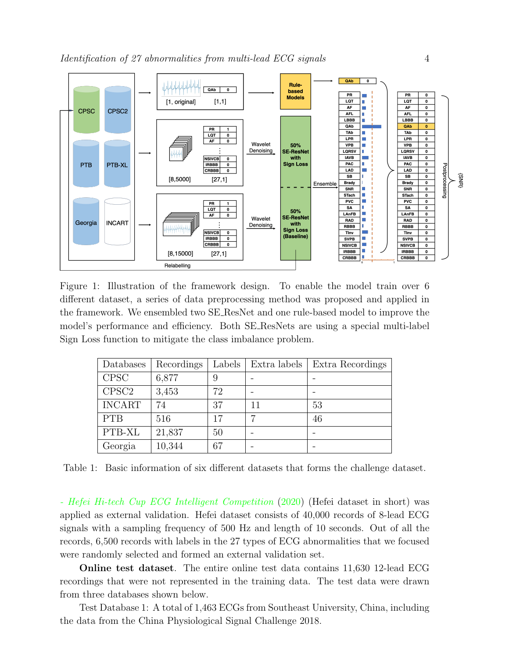<span id="page-3-0"></span>

Figure 1: Illustration of the framework design. To enable the model train over 6 different dataset, a series of data preprocessing method was proposed and applied in the framework. We ensembled two SE ResNet and one rule-based model to improve the model's performance and efficiency. Both SE ResNets are using a special multi-label Sign Loss function to mitigate the class imbalance problem.

| Databases         | Recordings | Labels | Extra labels | Extra Recordings |  |
|-------------------|------------|--------|--------------|------------------|--|
| <b>CPSC</b>       | 6,877      | 9      |              |                  |  |
| CPSC <sub>2</sub> | 3,453      | 72     |              |                  |  |
| <b>INCART</b>     | 74         | 37     | 11           | 53               |  |
| <b>PTB</b>        | 516        | 17     |              | 46               |  |
| PTB-XL            | 21,837     | 50     |              |                  |  |
| Georgia           | 10,344     | 67     |              |                  |  |

Table 1: Basic information of six different datasets that forms the challenge dataset.

[- Hefei Hi-tech Cup ECG Intelligent Competition](#page-16-7) [\(2020\)](#page-16-7) (Hefei dataset in short) was applied as external validation. Hefei dataset consists of 40,000 records of 8-lead ECG signals with a sampling frequency of 500 Hz and length of 10 seconds. Out of all the records, 6,500 records with labels in the 27 types of ECG abnormalities that we focused were randomly selected and formed an external validation set.

Online test dataset. The entire online test data contains 11,630 12-lead ECG recordings that were not represented in the training data. The test data were drawn from three databases shown below.

Test Database 1: A total of 1,463 ECGs from Southeast University, China, including the data from the China Physiological Signal Challenge 2018.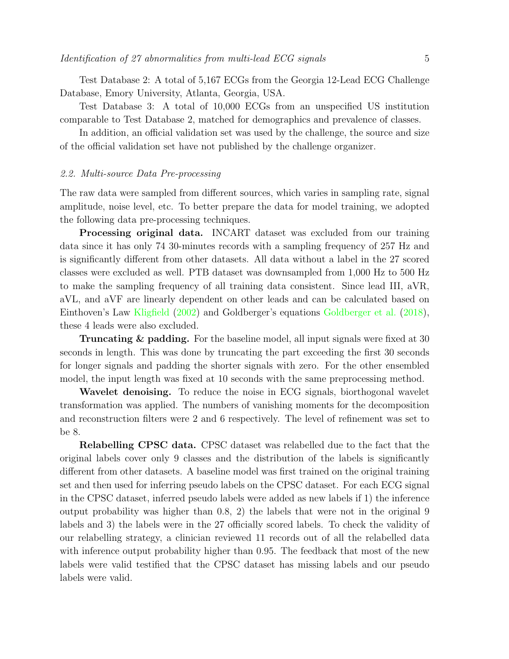Test Database 2: A total of 5,167 ECGs from the Georgia 12-Lead ECG Challenge Database, Emory University, Atlanta, Georgia, USA.

Test Database 3: A total of 10,000 ECGs from an unspecified US institution comparable to Test Database 2, matched for demographics and prevalence of classes.

In addition, an official validation set was used by the challenge, the source and size of the official validation set have not published by the challenge organizer.

# 2.2. Multi-source Data Pre-processing

The raw data were sampled from different sources, which varies in sampling rate, signal amplitude, noise level, etc. To better prepare the data for model training, we adopted the following data pre-processing techniques.

Processing original data. INCART dataset was excluded from our training data since it has only 74 30-minutes records with a sampling frequency of 257 Hz and is significantly different from other datasets. All data without a label in the 27 scored classes were excluded as well. PTB dataset was downsampled from 1,000 Hz to 500 Hz to make the sampling frequency of all training data consistent. Since lead III, aVR, aVL, and aVF are linearly dependent on other leads and can be calculated based on Einthoven's Law [Kligfield](#page-15-7) [\(2002\)](#page-15-7) and Goldberger's equations [Goldberger et al.](#page-14-9) [\(2018\)](#page-14-9), these 4 leads were also excluded.

Truncating & padding. For the baseline model, all input signals were fixed at 30 seconds in length. This was done by truncating the part exceeding the first 30 seconds for longer signals and padding the shorter signals with zero. For the other ensembled model, the input length was fixed at 10 seconds with the same preprocessing method.

Wavelet denoising. To reduce the noise in ECG signals, biorthogonal wavelet transformation was applied. The numbers of vanishing moments for the decomposition and reconstruction filters were 2 and 6 respectively. The level of refinement was set to be 8.

Relabelling CPSC data. CPSC dataset was relabelled due to the fact that the original labels cover only 9 classes and the distribution of the labels is significantly different from other datasets. A baseline model was first trained on the original training set and then used for inferring pseudo labels on the CPSC dataset. For each ECG signal in the CPSC dataset, inferred pseudo labels were added as new labels if 1) the inference output probability was higher than 0.8, 2) the labels that were not in the original 9 labels and 3) the labels were in the 27 officially scored labels. To check the validity of our relabelling strategy, a clinician reviewed 11 records out of all the relabelled data with inference output probability higher than 0.95. The feedback that most of the new labels were valid testified that the CPSC dataset has missing labels and our pseudo labels were valid.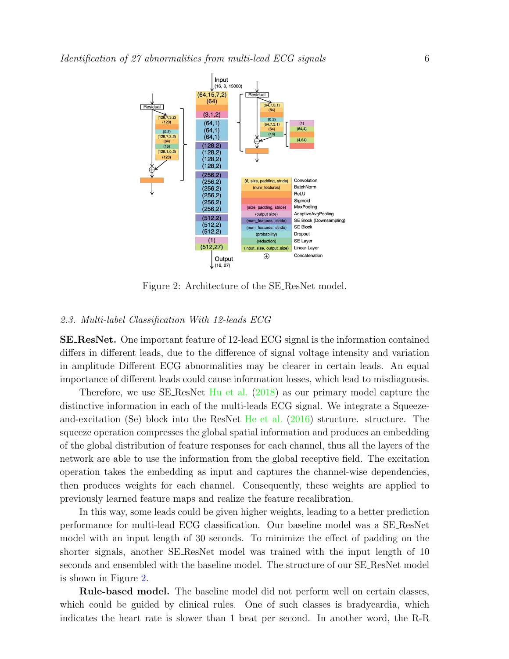<span id="page-5-0"></span>

Figure 2: Architecture of the SE ResNet model.

# 2.3. Multi-label Classification With 12-leads ECG

SE ResNet. One important feature of 12-lead ECG signal is the information contained differs in different leads, due to the difference of signal voltage intensity and variation in amplitude Different ECG abnormalities may be clearer in certain leads. An equal importance of different leads could cause information losses, which lead to misdiagnosis.

Therefore, we use SE ResNet [Hu et al.](#page-15-8) [\(2018\)](#page-15-8) as our primary model capture the distinctive information in each of the multi-leads ECG signal. We integrate a Squeezeand-excitation (Se) block into the ResNet [He et al.](#page-15-9) [\(2016\)](#page-15-9) structure. structure. The squeeze operation compresses the global spatial information and produces an embedding of the global distribution of feature responses for each channel, thus all the layers of the network are able to use the information from the global receptive field. The excitation operation takes the embedding as input and captures the channel-wise dependencies, then produces weights for each channel. Consequently, these weights are applied to previously learned feature maps and realize the feature recalibration.

In this way, some leads could be given higher weights, leading to a better prediction performance for multi-lead ECG classification. Our baseline model was a SE ResNet model with an input length of 30 seconds. To minimize the effect of padding on the shorter signals, another SE ResNet model was trained with the input length of 10 seconds and ensembled with the baseline model. The structure of our SE ResNet model is shown in Figure [2.](#page-5-0)

Rule-based model. The baseline model did not perform well on certain classes, which could be guided by clinical rules. One of such classes is bradycardia, which indicates the heart rate is slower than 1 beat per second. In another word, the R-R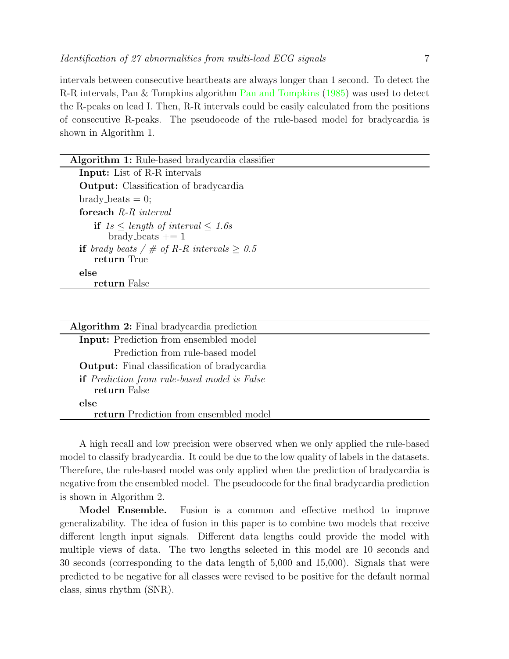intervals between consecutive heartbeats are always longer than 1 second. To detect the R-R intervals, Pan & Tompkins algorithm [Pan and Tompkins](#page-16-8) [\(1985\)](#page-16-8) was used to detect the R-peaks on lead I. Then, R-R intervals could be easily calculated from the positions of consecutive R-peaks. The pseudocode of the rule-based model for bradycardia is shown in Algorithm 1.

| <b>Algorithm 1:</b> Rule-based bradycardia classifier    |  |  |  |  |
|----------------------------------------------------------|--|--|--|--|
| <b>Input:</b> List of R-R intervals                      |  |  |  |  |
| <b>Output:</b> Classification of bradycardia             |  |  |  |  |
| $brady_beats = 0;$                                       |  |  |  |  |
| foreach $R$ - $R$ interval                               |  |  |  |  |
| if $1s \leq length \ of \ interval \ \leq 1.6s$          |  |  |  |  |
| brady_beats $+= 1$                                       |  |  |  |  |
| <b>if</b> brady_beats / $\#$ of R-R intervals $\geq 0.5$ |  |  |  |  |
| return True                                              |  |  |  |  |
| else                                                     |  |  |  |  |
| return False                                             |  |  |  |  |
|                                                          |  |  |  |  |

| Algorithm 2: Final bradycardia prediction                           |
|---------------------------------------------------------------------|
| Input: Prediction from ensembled model                              |
| Prediction from rule-based model                                    |
| <b>Output:</b> Final classification of bradycardia                  |
| <b>if</b> Prediction from rule-based model is False<br>return False |
| else                                                                |
| return Prediction from ensembled model                              |
|                                                                     |

A high recall and low precision were observed when we only applied the rule-based model to classify bradycardia. It could be due to the low quality of labels in the datasets. Therefore, the rule-based model was only applied when the prediction of bradycardia is negative from the ensembled model. The pseudocode for the final bradycardia prediction is shown in Algorithm 2.

Model Ensemble. Fusion is a common and effective method to improve generalizability. The idea of fusion in this paper is to combine two models that receive different length input signals. Different data lengths could provide the model with multiple views of data. The two lengths selected in this model are 10 seconds and 30 seconds (corresponding to the data length of 5,000 and 15,000). Signals that were predicted to be negative for all classes were revised to be positive for the default normal class, sinus rhythm (SNR).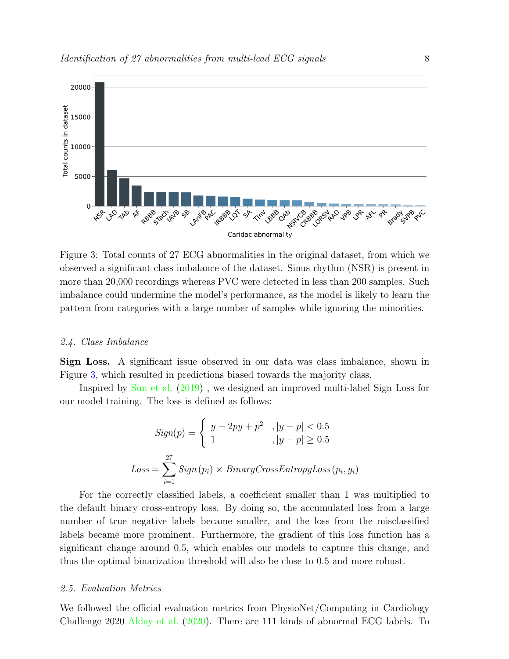<span id="page-7-0"></span>

Figure 3: Total counts of 27 ECG abnormalities in the original dataset, from which we observed a significant class imbalance of the dataset. Sinus rhythm (NSR) is present in more than 20,000 recordings whereas PVC were detected in less than 200 samples. Such imbalance could undermine the model's performance, as the model is likely to learn the pattern from categories with a large number of samples while ignoring the minorities.

#### 2.4. Class Imbalance

Sign Loss. A significant issue observed in our data was class imbalance, shown in Figure [3,](#page-7-0) which resulted in predictions biased towards the majority class.

Inspired by [Sun et al.](#page-16-9) [\(2019\)](#page-16-9) , we designed an improved multi-label Sign Loss for our model training. The loss is defined as follows:

$$
Sign(p) = \begin{cases} y - 2py + p^2, |y - p| < 0.5 \\ 1, |y - p| \ge 0.5 \end{cases}
$$
\n
$$
Loss = \sum_{i=1}^{27} Sign(p_i) \times BinaryCrossEntropyLoss(p_i, y_i)
$$

For the correctly classified labels, a coefficient smaller than 1 was multiplied to the default binary cross-entropy loss. By doing so, the accumulated loss from a large number of true negative labels became smaller, and the loss from the misclassified labels became more prominent. Furthermore, the gradient of this loss function has a significant change around 0.5, which enables our models to capture this change, and thus the optimal binarization threshold will also be close to 0.5 and more robust.

#### 2.5. Evaluation Metrics

We followed the official evaluation metrics from PhysioNet/Computing in Cardiology Challenge 2020 [Alday et al.](#page-14-10) [\(2020\)](#page-14-10). There are 111 kinds of abnormal ECG labels. To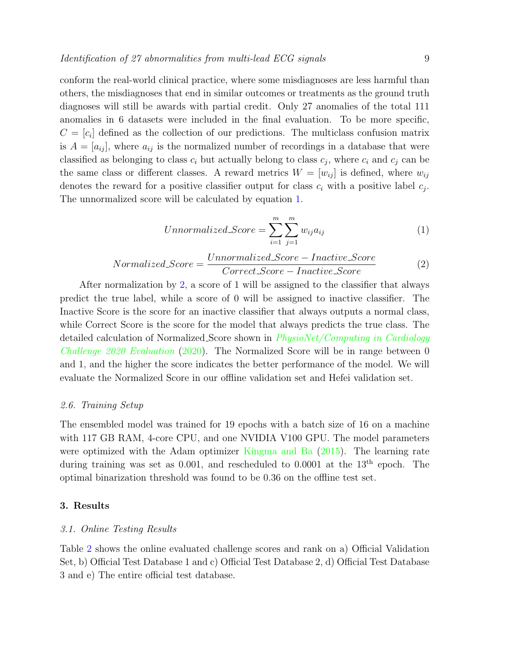conform the real-world clinical practice, where some misdiagnoses are less harmful than others, the misdiagnoses that end in similar outcomes or treatments as the ground truth diagnoses will still be awards with partial credit. Only 27 anomalies of the total 111 anomalies in 6 datasets were included in the final evaluation. To be more specific,  $C = [c_i]$  defined as the collection of our predictions. The multiclass confusion matrix is  $A = [a_{ij}]$ , where  $a_{ij}$  is the normalized number of recordings in a database that were classified as belonging to class  $c_i$  but actually belong to class  $c_j$ , where  $c_i$  and  $c_j$  can be the same class or different classes. A reward metrics  $W = [w_{ij}]$  is defined, where  $w_{ij}$ denotes the reward for a positive classifier output for class  $c_i$  with a positive label  $c_j$ . The unnormalized score will be calculated by equation [1.](#page-8-0)

<span id="page-8-0"></span>Unnormalized\_Score = 
$$
\sum_{i=1}^{m} \sum_{j=1}^{m} w_{ij} a_{ij}
$$
 (1)

<span id="page-8-1"></span>
$$
Normalized\_Score = \frac{Unnormalized\_Score - Inactive\_Score}{Correct\_Score - Inactive\_Score}
$$
(2)

After normalization by [2,](#page-8-1) a score of 1 will be assigned to the classifier that always predict the true label, while a score of 0 will be assigned to inactive classifier. The Inactive Score is the score for an inactive classifier that always outputs a normal class, while Correct Score is the score for the model that always predicts the true class. The detailed calculation of Normalized Score shown in *[PhysioNet/Computing in Cardiology](#page-16-10)* [Challenge 2020 Evaluation](#page-16-10) [\(2020\)](#page-16-10). The Normalized Score will be in range between 0 and 1, and the higher the score indicates the better performance of the model. We will evaluate the Normalized Score in our offline validation set and Hefei validation set.

#### 2.6. Training Setup

The ensembled model was trained for 19 epochs with a batch size of 16 on a machine with 117 GB RAM, 4-core CPU, and one NVIDIA V100 GPU. The model parameters were optimized with the Adam optimizer [Kingma and Ba](#page-15-10) [\(2015\)](#page-15-10). The learning rate during training was set as 0.001, and rescheduled to 0.0001 at the  $13<sup>th</sup>$  epoch. The optimal binarization threshold was found to be 0.36 on the offline test set.

# 3. Results

#### 3.1. Online Testing Results

Table [2](#page-9-0) shows the online evaluated challenge scores and rank on a) Official Validation Set, b) Official Test Database 1 and c) Official Test Database 2, d) Official Test Database 3 and e) The entire official test database.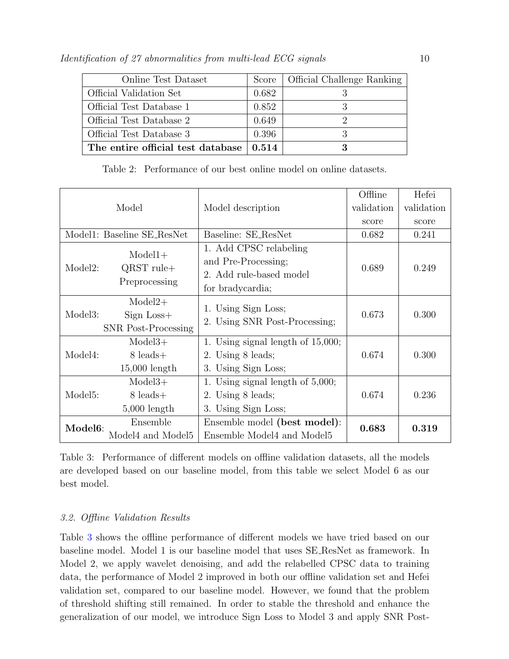<span id="page-9-0"></span>

| Online Test Dataset               | Score | <b>Official Challenge Ranking</b> |
|-----------------------------------|-------|-----------------------------------|
| Official Validation Set           | 0.682 |                                   |
| Official Test Database 1          | 0.852 |                                   |
| Official Test Database 2          | 0.649 |                                   |
| Official Test Database 3          | 0.396 |                                   |
| The entire official test database | 0.514 |                                   |

|  | Table 2: Performance of our best online model on online datasets. |  |  |  |  |  |  |  |  |
|--|-------------------------------------------------------------------|--|--|--|--|--|--|--|--|
|--|-------------------------------------------------------------------|--|--|--|--|--|--|--|--|

<span id="page-9-1"></span>

|                      |                                                         |                                                                                              | Offline    | Hefei      |
|----------------------|---------------------------------------------------------|----------------------------------------------------------------------------------------------|------------|------------|
| Model                |                                                         | Model description                                                                            | validation | validation |
|                      |                                                         |                                                                                              | score      | score      |
|                      | Model1: Baseline SE_ResNet                              | Baseline: SE_ResNet                                                                          | 0.682      | 0.241      |
| Model2:              | $Model1+$<br>$QRST$ rule+<br>Preprocessing              | 1. Add CPSC relabeling<br>and Pre-Processing;<br>2. Add rule-based model<br>for bradycardia; | 0.689      | 0.249      |
| Model3:              | $Model2+$<br>$Sign Loss+$<br><b>SNR</b> Post-Processing | 1. Using Sign Loss;<br>2. Using SNR Post-Processing;                                         | 0.673      | 0.300      |
| Model4:              | $Model3+$<br>$8$ leads $+$<br>$15,000$ length           | 1. Using signal length of $15,000$ ;<br>2. Using 8 leads;<br>3. Using Sign Loss;             | 0.674      | 0.300      |
| Model <sub>5</sub> : | $Model3+$<br>8 leads +<br>$5,000$ length                | 1. Using signal length of $5,000$ ;<br>2. Using 8 leads;<br>3. Using Sign Loss;              | 0.674      | 0.236      |
| Model <sub>6</sub> : | Ensemble<br>Model4 and Model5                           | Ensemble model (best model):<br>Ensemble Model4 and Model5                                   | 0.683      | 0.319      |

Table 3: Performance of different models on offline validation datasets, all the models are developed based on our baseline model, from this table we select Model 6 as our best model.

# 3.2. Offline Validation Results

Table [3](#page-9-1) shows the offline performance of different models we have tried based on our baseline model. Model 1 is our baseline model that uses SE ResNet as framework. In Model 2, we apply wavelet denoising, and add the relabelled CPSC data to training data, the performance of Model 2 improved in both our offline validation set and Hefei validation set, compared to our baseline model. However, we found that the problem of threshold shifting still remained. In order to stable the threshold and enhance the generalization of our model, we introduce Sign Loss to Model 3 and apply SNR Post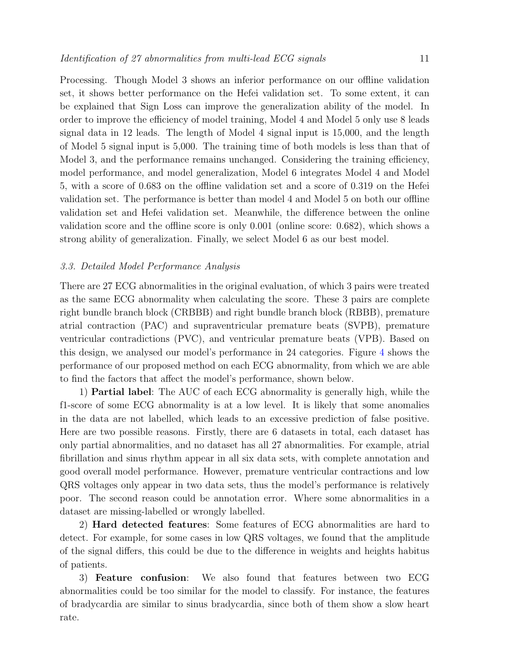Processing. Though Model 3 shows an inferior performance on our offline validation set, it shows better performance on the Hefei validation set. To some extent, it can be explained that Sign Loss can improve the generalization ability of the model. In order to improve the efficiency of model training, Model 4 and Model 5 only use 8 leads signal data in 12 leads. The length of Model 4 signal input is 15,000, and the length of Model 5 signal input is 5,000. The training time of both models is less than that of Model 3, and the performance remains unchanged. Considering the training efficiency, model performance, and model generalization, Model 6 integrates Model 4 and Model 5, with a score of 0.683 on the offline validation set and a score of 0.319 on the Hefei validation set. The performance is better than model 4 and Model 5 on both our offline validation set and Hefei validation set. Meanwhile, the difference between the online validation score and the offline score is only 0.001 (online score: 0.682), which shows a strong ability of generalization. Finally, we select Model 6 as our best model.

# 3.3. Detailed Model Performance Analysis

There are 27 ECG abnormalities in the original evaluation, of which 3 pairs were treated as the same ECG abnormality when calculating the score. These 3 pairs are complete right bundle branch block (CRBBB) and right bundle branch block (RBBB), premature atrial contraction (PAC) and supraventricular premature beats (SVPB), premature ventricular contradictions (PVC), and ventricular premature beats (VPB). Based on this design, we analysed our model's performance in 24 categories. Figure [4](#page-11-0) shows the performance of our proposed method on each ECG abnormality, from which we are able to find the factors that affect the model's performance, shown below.

1) Partial label: The AUC of each ECG abnormality is generally high, while the f1-score of some ECG abnormality is at a low level. It is likely that some anomalies in the data are not labelled, which leads to an excessive prediction of false positive. Here are two possible reasons. Firstly, there are 6 datasets in total, each dataset has only partial abnormalities, and no dataset has all 27 abnormalities. For example, atrial fibrillation and sinus rhythm appear in all six data sets, with complete annotation and good overall model performance. However, premature ventricular contractions and low QRS voltages only appear in two data sets, thus the model's performance is relatively poor. The second reason could be annotation error. Where some abnormalities in a dataset are missing-labelled or wrongly labelled.

2) Hard detected features: Some features of ECG abnormalities are hard to detect. For example, for some cases in low QRS voltages, we found that the amplitude of the signal differs, this could be due to the difference in weights and heights habitus of patients.

3) Feature confusion: We also found that features between two ECG abnormalities could be too similar for the model to classify. For instance, the features of bradycardia are similar to sinus bradycardia, since both of them show a slow heart rate.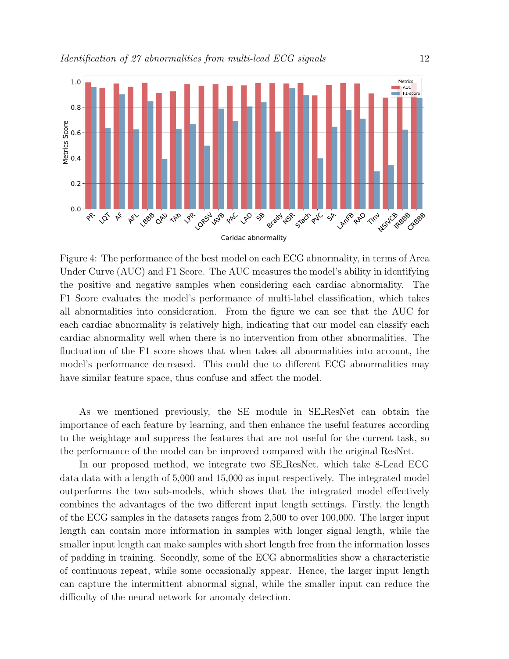<span id="page-11-0"></span>

Figure 4: The performance of the best model on each ECG abnormality, in terms of Area Under Curve (AUC) and F1 Score. The AUC measures the model's ability in identifying the positive and negative samples when considering each cardiac abnormality. The F1 Score evaluates the model's performance of multi-label classification, which takes all abnormalities into consideration. From the figure we can see that the AUC for each cardiac abnormality is relatively high, indicating that our model can classify each cardiac abnormality well when there is no intervention from other abnormalities. The fluctuation of the F1 score shows that when takes all abnormalities into account, the model's performance decreased. This could due to different ECG abnormalities may have similar feature space, thus confuse and affect the model.

As we mentioned previously, the SE module in SE ResNet can obtain the importance of each feature by learning, and then enhance the useful features according to the weightage and suppress the features that are not useful for the current task, so the performance of the model can be improved compared with the original ResNet.

In our proposed method, we integrate two SE ResNet, which take 8-Lead ECG data data with a length of 5,000 and 15,000 as input respectively. The integrated model outperforms the two sub-models, which shows that the integrated model effectively combines the advantages of the two different input length settings. Firstly, the length of the ECG samples in the datasets ranges from 2,500 to over 100,000. The larger input length can contain more information in samples with longer signal length, while the smaller input length can make samples with short length free from the information losses of padding in training. Secondly, some of the ECG abnormalities show a characteristic of continuous repeat, while some occasionally appear. Hence, the larger input length can capture the intermittent abnormal signal, while the smaller input can reduce the difficulty of the neural network for anomaly detection.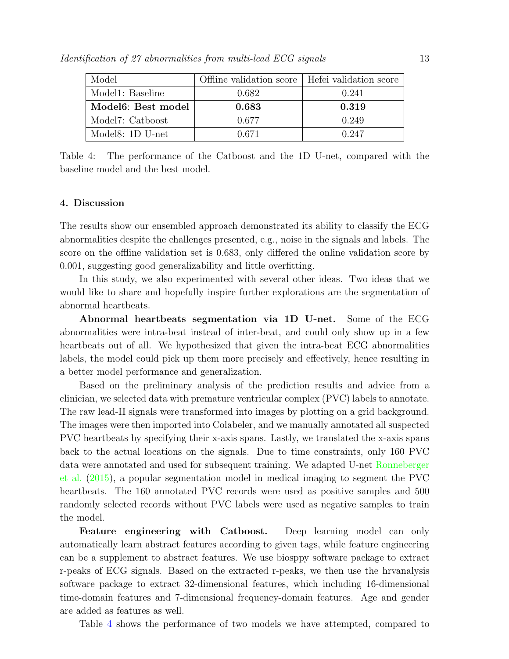<span id="page-12-0"></span>

| Model                           | Offline validation score   Hefei validation score |       |
|---------------------------------|---------------------------------------------------|-------|
| Model1: Baseline                | 0.682                                             | 0.241 |
| Model <sub>6</sub> : Best model | 0.683                                             | 0.319 |
| Model7: Catboost                | 0.677                                             | 0.249 |
| Model8: 1D U-net                | 0.671                                             | 0.247 |

Table 4: The performance of the Catboost and the 1D U-net, compared with the baseline model and the best model.

# 4. Discussion

The results show our ensembled approach demonstrated its ability to classify the ECG abnormalities despite the challenges presented, e.g., noise in the signals and labels. The score on the offline validation set is 0.683, only differed the online validation score by 0.001, suggesting good generalizability and little overfitting.

In this study, we also experimented with several other ideas. Two ideas that we would like to share and hopefully inspire further explorations are the segmentation of abnormal heartbeats.

Abnormal heartbeats segmentation via 1D U-net. Some of the ECG abnormalities were intra-beat instead of inter-beat, and could only show up in a few heartbeats out of all. We hypothesized that given the intra-beat ECG abnormalities labels, the model could pick up them more precisely and effectively, hence resulting in a better model performance and generalization.

Based on the preliminary analysis of the prediction results and advice from a clinician, we selected data with premature ventricular complex (PVC) labels to annotate. The raw lead-II signals were transformed into images by plotting on a grid background. The images were then imported into Colabeler, and we manually annotated all suspected PVC heartbeats by specifying their x-axis spans. Lastly, we translated the x-axis spans back to the actual locations on the signals. Due to time constraints, only 160 PVC data were annotated and used for subsequent training. We adapted U-net [Ronneberger](#page-16-11) [et al.](#page-16-11) [\(2015\)](#page-16-11), a popular segmentation model in medical imaging to segment the PVC heartbeats. The 160 annotated PVC records were used as positive samples and 500 randomly selected records without PVC labels were used as negative samples to train the model.

Feature engineering with Catboost. Deep learning model can only automatically learn abstract features according to given tags, while feature engineering can be a supplement to abstract features. We use biosppy software package to extract r-peaks of ECG signals. Based on the extracted r-peaks, we then use the hrvanalysis software package to extract 32-dimensional features, which including 16-dimensional time-domain features and 7-dimensional frequency-domain features. Age and gender are added as features as well.

Table [4](#page-12-0) shows the performance of two models we have attempted, compared to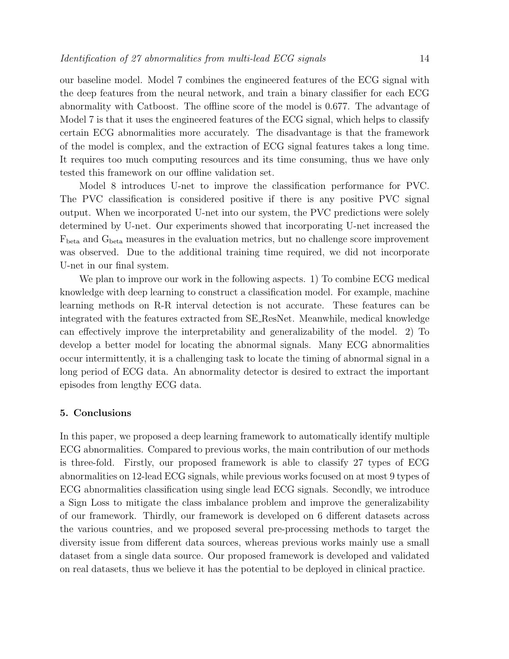our baseline model. Model 7 combines the engineered features of the ECG signal with the deep features from the neural network, and train a binary classifier for each ECG abnormality with Catboost. The offline score of the model is 0.677. The advantage of Model 7 is that it uses the engineered features of the ECG signal, which helps to classify certain ECG abnormalities more accurately. The disadvantage is that the framework of the model is complex, and the extraction of ECG signal features takes a long time. It requires too much computing resources and its time consuming, thus we have only tested this framework on our offline validation set.

Model 8 introduces U-net to improve the classification performance for PVC. The PVC classification is considered positive if there is any positive PVC signal output. When we incorporated U-net into our system, the PVC predictions were solely determined by U-net. Our experiments showed that incorporating U-net increased the  $F_{\text{beta}}$  and  $G_{\text{beta}}$  measures in the evaluation metrics, but no challenge score improvement was observed. Due to the additional training time required, we did not incorporate U-net in our final system.

We plan to improve our work in the following aspects. 1) To combine ECG medical knowledge with deep learning to construct a classification model. For example, machine learning methods on R-R interval detection is not accurate. These features can be integrated with the features extracted from SE ResNet. Meanwhile, medical knowledge can effectively improve the interpretability and generalizability of the model. 2) To develop a better model for locating the abnormal signals. Many ECG abnormalities occur intermittently, it is a challenging task to locate the timing of abnormal signal in a long period of ECG data. An abnormality detector is desired to extract the important episodes from lengthy ECG data.

# 5. Conclusions

In this paper, we proposed a deep learning framework to automatically identify multiple ECG abnormalities. Compared to previous works, the main contribution of our methods is three-fold. Firstly, our proposed framework is able to classify 27 types of ECG abnormalities on 12-lead ECG signals, while previous works focused on at most 9 types of ECG abnormalities classification using single lead ECG signals. Secondly, we introduce a Sign Loss to mitigate the class imbalance problem and improve the generalizability of our framework. Thirdly, our framework is developed on 6 different datasets across the various countries, and we proposed several pre-processing methods to target the diversity issue from different data sources, whereas previous works mainly use a small dataset from a single data source. Our proposed framework is developed and validated on real datasets, thus we believe it has the potential to be deployed in clinical practice.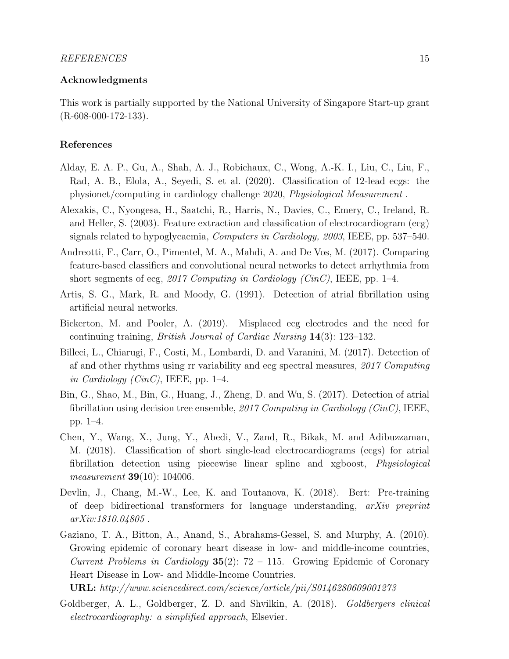# Acknowledgments

This work is partially supported by the National University of Singapore Start-up grant  $(R-608-000-172-133)$ .

# References

- <span id="page-14-10"></span>Alday, E. A. P., Gu, A., Shah, A. J., Robichaux, C., Wong, A.-K. I., Liu, C., Liu, F., Rad, A. B., Elola, A., Seyedi, S. et al. (2020). Classification of 12-lead ecgs: the physionet/computing in cardiology challenge 2020, Physiological Measurement .
- <span id="page-14-3"></span>Alexakis, C., Nyongesa, H., Saatchi, R., Harris, N., Davies, C., Emery, C., Ireland, R. and Heller, S. (2003). Feature extraction and classification of electrocardiogram (ecg) signals related to hypoglycaemia, Computers in Cardiology, 2003, IEEE, pp. 537–540.
- <span id="page-14-6"></span>Andreotti, F., Carr, O., Pimentel, M. A., Mahdi, A. and De Vos, M. (2017). Comparing feature-based classifiers and convolutional neural networks to detect arrhythmia from short segments of ecg, 2017 Computing in Cardiology (CinC), IEEE, pp. 1–4.
- <span id="page-14-1"></span>Artis, S. G., Mark, R. and Moody, G. (1991). Detection of atrial fibrillation using artificial neural networks.
- <span id="page-14-2"></span>Bickerton, M. and Pooler, A. (2019). Misplaced ecg electrodes and the need for continuing training, British Journal of Cardiac Nursing 14(3): 123–132.
- <span id="page-14-7"></span>Billeci, L., Chiarugi, F., Costi, M., Lombardi, D. and Varanini, M. (2017). Detection of af and other rhythms using rr variability and ecg spectral measures, 2017 Computing in Cardiology (CinC), IEEE, pp. 1–4.
- <span id="page-14-8"></span>Bin, G., Shao, M., Bin, G., Huang, J., Zheng, D. and Wu, S. (2017). Detection of atrial fibrillation using decision tree ensemble, 2017 Computing in Cardiology (CinC), IEEE, pp. 1–4.
- <span id="page-14-4"></span>Chen, Y., Wang, X., Jung, Y., Abedi, V., Zand, R., Bikak, M. and Adibuzzaman, M. (2018). Classification of short single-lead electrocardiograms (ecgs) for atrial fibrillation detection using piecewise linear spline and xgboost, Physiological measurement **39**(10): 104006.
- <span id="page-14-5"></span>Devlin, J., Chang, M.-W., Lee, K. and Toutanova, K. (2018). Bert: Pre-training of deep bidirectional transformers for language understanding,  $arXiv$  preprint arXiv:1810.04805 .
- <span id="page-14-0"></span>Gaziano, T. A., Bitton, A., Anand, S., Abrahams-Gessel, S. and Murphy, A. (2010). Growing epidemic of coronary heart disease in low- and middle-income countries, Current Problems in Cardiology  $35(2)$ : 72 – 115. Growing Epidemic of Coronary Heart Disease in Low- and Middle-Income Countries.
- URL: http://www.sciencedirect.com/science/article/pii/S0146280609001273
- <span id="page-14-9"></span>Goldberger, A. L., Goldberger, Z. D. and Shvilkin, A. (2018). Goldbergers clinical electrocardiography: a simplified approach, Elsevier.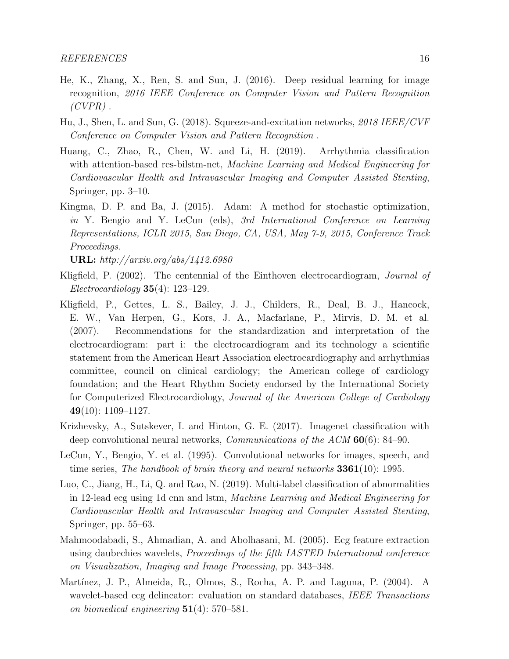- <span id="page-15-9"></span>He, K., Zhang, X., Ren, S. and Sun, J. (2016). Deep residual learning for image recognition, 2016 IEEE Conference on Computer Vision and Pattern Recognition  $(CVPR)$ .
- <span id="page-15-8"></span>Hu, J., Shen, L. and Sun, G. (2018). Squeeze-and-excitation networks, 2018 IEEE/CVF Conference on Computer Vision and Pattern Recognition .
- <span id="page-15-6"></span>Huang, C., Zhao, R., Chen, W. and Li, H. (2019). Arrhythmia classification with attention-based res-bilstm-net, Machine Learning and Medical Engineering for Cardiovascular Health and Intravascular Imaging and Computer Assisted Stenting, Springer, pp. 3–10.
- <span id="page-15-10"></span>Kingma, D. P. and Ba, J. (2015). Adam: A method for stochastic optimization, in Y. Bengio and Y. LeCun (eds), 3rd International Conference on Learning Representations, ICLR 2015, San Diego, CA, USA, May 7-9, 2015, Conference Track Proceedings.

URL: http://arxiv.org/abs/1412.6980

- <span id="page-15-7"></span>Kligfield, P. (2002). The centennial of the Einthoven electrocardiogram, Journal of Electrocardiology 35(4): 123–129.
- <span id="page-15-0"></span>Kligfield, P., Gettes, L. S., Bailey, J. J., Childers, R., Deal, B. J., Hancock, E. W., Van Herpen, G., Kors, J. A., Macfarlane, P., Mirvis, D. M. et al. (2007). Recommendations for the standardization and interpretation of the electrocardiogram: part i: the electrocardiogram and its technology a scientific statement from the American Heart Association electrocardiography and arrhythmias committee, council on clinical cardiology; the American college of cardiology foundation; and the Heart Rhythm Society endorsed by the International Society for Computerized Electrocardiology, Journal of the American College of Cardiology  $49(10): 1109-1127.$
- <span id="page-15-4"></span>Krizhevsky, A., Sutskever, I. and Hinton, G. E. (2017). Imagenet classification with deep convolutional neural networks, *Communications of the ACM* 60(6): 84–90.
- <span id="page-15-3"></span>LeCun, Y., Bengio, Y. et al. (1995). Convolutional networks for images, speech, and time series, The handbook of brain theory and neural networks  $3361(10)$ : 1995.
- <span id="page-15-5"></span>Luo, C., Jiang, H., Li, Q. and Rao, N. (2019). Multi-label classification of abnormalities in 12-lead ecg using 1d cnn and lstm, Machine Learning and Medical Engineering for Cardiovascular Health and Intravascular Imaging and Computer Assisted Stenting, Springer, pp. 55–63.
- <span id="page-15-2"></span>Mahmoodabadi, S., Ahmadian, A. and Abolhasani, M. (2005). Ecg feature extraction using daubechies wavelets, Proceedings of the fifth IASTED International conference on Visualization, Imaging and Image Processing, pp. 343–348.
- <span id="page-15-1"></span>Martínez, J. P., Almeida, R., Olmos, S., Rocha, A. P. and Laguna, P. (2004). A wavelet-based ecg delineator: evaluation on standard databases, IEEE Transactions on biomedical engineering 51(4): 570–581.